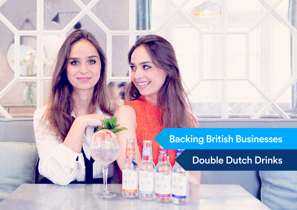## Backing British Businesses

## Double Dutch Drinks